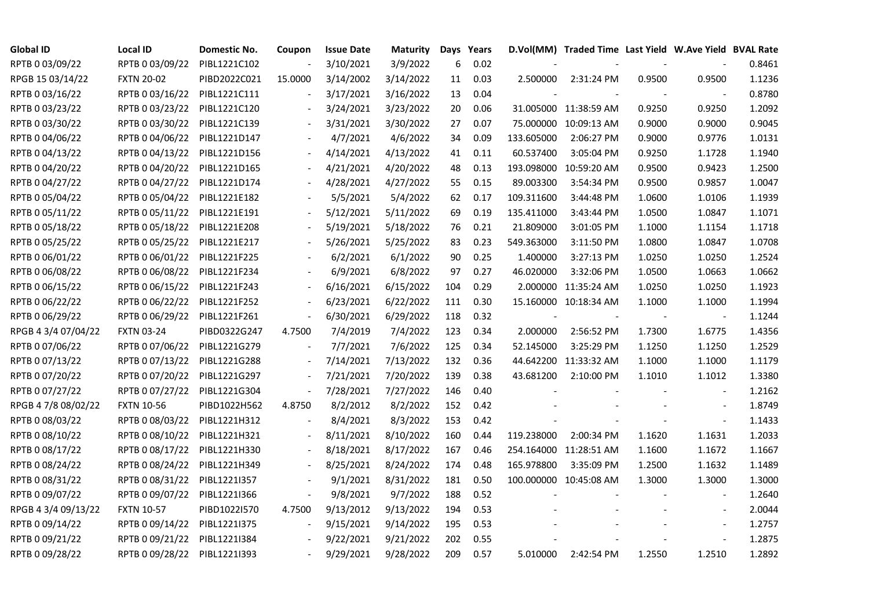| <b>Global ID</b>    | <b>Local ID</b>   | Domestic No. | Coupon                   | <b>Issue Date</b> | <b>Maturity</b> |     | Days Years |            | D.Vol(MM) Traded Time Last Yield W.Ave Yield BVAL Rate |        |                          |        |
|---------------------|-------------------|--------------|--------------------------|-------------------|-----------------|-----|------------|------------|--------------------------------------------------------|--------|--------------------------|--------|
| RPTB 0 03/09/22     | RPTB 0 03/09/22   | PIBL1221C102 |                          | 3/10/2021         | 3/9/2022        | 6   | 0.02       |            |                                                        |        |                          | 0.8461 |
| RPGB 15 03/14/22    | <b>FXTN 20-02</b> | PIBD2022C021 | 15.0000                  | 3/14/2002         | 3/14/2022       | 11  | 0.03       | 2.500000   | 2:31:24 PM                                             | 0.9500 | 0.9500                   | 1.1236 |
| RPTB 0 03/16/22     | RPTB 0 03/16/22   | PIBL1221C111 |                          | 3/17/2021         | 3/16/2022       | 13  | 0.04       |            |                                                        |        |                          | 0.8780 |
| RPTB 0 03/23/22     | RPTB 0 03/23/22   | PIBL1221C120 | $\overline{\phantom{a}}$ | 3/24/2021         | 3/23/2022       | 20  | 0.06       |            | 31.005000 11:38:59 AM                                  | 0.9250 | 0.9250                   | 1.2092 |
| RPTB 0 03/30/22     | RPTB 0 03/30/22   | PIBL1221C139 |                          | 3/31/2021         | 3/30/2022       | 27  | 0.07       |            | 75.000000 10:09:13 AM                                  | 0.9000 | 0.9000                   | 0.9045 |
| RPTB 0 04/06/22     | RPTB 0 04/06/22   | PIBL1221D147 |                          | 4/7/2021          | 4/6/2022        | 34  | 0.09       | 133.605000 | 2:06:27 PM                                             | 0.9000 | 0.9776                   | 1.0131 |
| RPTB 0 04/13/22     | RPTB 0 04/13/22   | PIBL1221D156 |                          | 4/14/2021         | 4/13/2022       | 41  | 0.11       | 60.537400  | 3:05:04 PM                                             | 0.9250 | 1.1728                   | 1.1940 |
| RPTB 0 04/20/22     | RPTB 0 04/20/22   | PIBL1221D165 |                          | 4/21/2021         | 4/20/2022       | 48  | 0.13       |            | 193.098000 10:59:20 AM                                 | 0.9500 | 0.9423                   | 1.2500 |
| RPTB 0 04/27/22     | RPTB 0 04/27/22   | PIBL1221D174 |                          | 4/28/2021         | 4/27/2022       | 55  | 0.15       | 89.003300  | 3:54:34 PM                                             | 0.9500 | 0.9857                   | 1.0047 |
| RPTB 0 05/04/22     | RPTB 0 05/04/22   | PIBL1221E182 |                          | 5/5/2021          | 5/4/2022        | 62  | 0.17       | 109.311600 | 3:44:48 PM                                             | 1.0600 | 1.0106                   | 1.1939 |
| RPTB 0 05/11/22     | RPTB 0 05/11/22   | PIBL1221E191 | $\overline{\phantom{a}}$ | 5/12/2021         | 5/11/2022       | 69  | 0.19       | 135.411000 | 3:43:44 PM                                             | 1.0500 | 1.0847                   | 1.1071 |
| RPTB 0 05/18/22     | RPTB 0 05/18/22   | PIBL1221E208 |                          | 5/19/2021         | 5/18/2022       | 76  | 0.21       | 21.809000  | 3:01:05 PM                                             | 1.1000 | 1.1154                   | 1.1718 |
| RPTB 0 05/25/22     | RPTB 0 05/25/22   | PIBL1221E217 |                          | 5/26/2021         | 5/25/2022       | 83  | 0.23       | 549.363000 | 3:11:50 PM                                             | 1.0800 | 1.0847                   | 1.0708 |
| RPTB 0 06/01/22     | RPTB 0 06/01/22   | PIBL1221F225 |                          | 6/2/2021          | 6/1/2022        | 90  | 0.25       | 1.400000   | 3:27:13 PM                                             | 1.0250 | 1.0250                   | 1.2524 |
| RPTB 0 06/08/22     | RPTB 0 06/08/22   | PIBL1221F234 |                          | 6/9/2021          | 6/8/2022        | 97  | 0.27       | 46.020000  | 3:32:06 PM                                             | 1.0500 | 1.0663                   | 1.0662 |
| RPTB 0 06/15/22     | RPTB 0 06/15/22   | PIBL1221F243 |                          | 6/16/2021         | 6/15/2022       | 104 | 0.29       |            | 2.000000 11:35:24 AM                                   | 1.0250 | 1.0250                   | 1.1923 |
| RPTB 0 06/22/22     | RPTB 0 06/22/22   | PIBL1221F252 | $\overline{\phantom{a}}$ | 6/23/2021         | 6/22/2022       | 111 | 0.30       |            | 15.160000 10:18:34 AM                                  | 1.1000 | 1.1000                   | 1.1994 |
| RPTB 0 06/29/22     | RPTB 0 06/29/22   | PIBL1221F261 | $\overline{\phantom{a}}$ | 6/30/2021         | 6/29/2022       | 118 | 0.32       |            |                                                        |        | $\overline{\phantom{a}}$ | 1.1244 |
| RPGB 4 3/4 07/04/22 | <b>FXTN 03-24</b> | PIBD0322G247 | 4.7500                   | 7/4/2019          | 7/4/2022        | 123 | 0.34       | 2.000000   | 2:56:52 PM                                             | 1.7300 | 1.6775                   | 1.4356 |
| RPTB 0 07/06/22     | RPTB 0 07/06/22   | PIBL1221G279 |                          | 7/7/2021          | 7/6/2022        | 125 | 0.34       | 52.145000  | 3:25:29 PM                                             | 1.1250 | 1.1250                   | 1.2529 |
| RPTB 0 07/13/22     | RPTB 0 07/13/22   | PIBL1221G288 | $\blacksquare$           | 7/14/2021         | 7/13/2022       | 132 | 0.36       |            | 44.642200 11:33:32 AM                                  | 1.1000 | 1.1000                   | 1.1179 |
| RPTB 0 07/20/22     | RPTB 0 07/20/22   | PIBL1221G297 |                          | 7/21/2021         | 7/20/2022       | 139 | 0.38       | 43.681200  | 2:10:00 PM                                             | 1.1010 | 1.1012                   | 1.3380 |
| RPTB 0 07/27/22     | RPTB 0 07/27/22   | PIBL1221G304 | $\frac{1}{2}$            | 7/28/2021         | 7/27/2022       | 146 | 0.40       |            |                                                        |        |                          | 1.2162 |
| RPGB 4 7/8 08/02/22 | <b>FXTN 10-56</b> | PIBD1022H562 | 4.8750                   | 8/2/2012          | 8/2/2022        | 152 | 0.42       |            |                                                        |        | $\overline{\phantom{a}}$ | 1.8749 |
| RPTB 0 08/03/22     | RPTB 0 08/03/22   | PIBL1221H312 | $\overline{\phantom{a}}$ | 8/4/2021          | 8/3/2022        | 153 | 0.42       |            |                                                        |        | $\blacksquare$           | 1.1433 |
| RPTB 0 08/10/22     | RPTB 0 08/10/22   | PIBL1221H321 | $\overline{\phantom{a}}$ | 8/11/2021         | 8/10/2022       | 160 | 0.44       | 119.238000 | 2:00:34 PM                                             | 1.1620 | 1.1631                   | 1.2033 |
| RPTB 0 08/17/22     | RPTB 0 08/17/22   | PIBL1221H330 |                          | 8/18/2021         | 8/17/2022       | 167 | 0.46       |            | 254.164000 11:28:51 AM                                 | 1.1600 | 1.1672                   | 1.1667 |
| RPTB 0 08/24/22     | RPTB 0 08/24/22   | PIBL1221H349 | $\overline{\phantom{a}}$ | 8/25/2021         | 8/24/2022       | 174 | 0.48       | 165.978800 | 3:35:09 PM                                             | 1.2500 | 1.1632                   | 1.1489 |
| RPTB 0 08/31/22     | RPTB 0 08/31/22   | PIBL1221I357 |                          | 9/1/2021          | 8/31/2022       | 181 | 0.50       |            | 100.000000 10:45:08 AM                                 | 1.3000 | 1.3000                   | 1.3000 |
| RPTB 0 09/07/22     | RPTB 0 09/07/22   | PIBL1221I366 |                          | 9/8/2021          | 9/7/2022        | 188 | 0.52       |            |                                                        |        |                          | 1.2640 |
| RPGB 4 3/4 09/13/22 | <b>FXTN 10-57</b> | PIBD1022I570 | 4.7500                   | 9/13/2012         | 9/13/2022       | 194 | 0.53       |            |                                                        |        | $\frac{1}{2}$            | 2.0044 |
| RPTB 0 09/14/22     | RPTB 0 09/14/22   | PIBL1221I375 | $\overline{\phantom{a}}$ | 9/15/2021         | 9/14/2022       | 195 | 0.53       |            |                                                        |        | $\overline{\phantom{a}}$ | 1.2757 |
| RPTB 0 09/21/22     | RPTB 0 09/21/22   | PIBL1221I384 |                          | 9/22/2021         | 9/21/2022       | 202 | 0.55       |            |                                                        |        | $\blacksquare$           | 1.2875 |
| RPTB 0 09/28/22     | RPTB 0 09/28/22   | PIBL1221I393 |                          | 9/29/2021         | 9/28/2022       | 209 | 0.57       | 5.010000   | 2:42:54 PM                                             | 1.2550 | 1.2510                   | 1.2892 |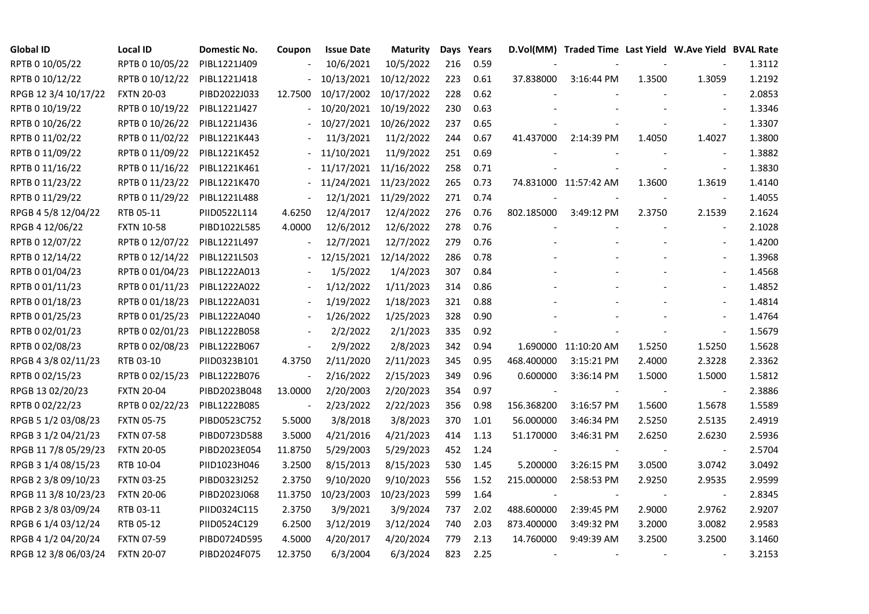| <b>Global ID</b>     | <b>Local ID</b>   | Domestic No. | Coupon                   | <b>Issue Date</b> | <b>Maturity</b>       |     | Days Years |            | D.Vol(MM) Traded Time Last Yield W.Ave Yield BVAL Rate |        |                          |        |
|----------------------|-------------------|--------------|--------------------------|-------------------|-----------------------|-----|------------|------------|--------------------------------------------------------|--------|--------------------------|--------|
| RPTB 0 10/05/22      | RPTB 0 10/05/22   | PIBL1221J409 |                          | 10/6/2021         | 10/5/2022             | 216 | 0.59       |            |                                                        |        |                          | 1.3112 |
| RPTB 0 10/12/22      | RPTB 0 10/12/22   | PIBL1221J418 |                          | 10/13/2021        | 10/12/2022            | 223 | 0.61       | 37.838000  | 3:16:44 PM                                             | 1.3500 | 1.3059                   | 1.2192 |
| RPGB 12 3/4 10/17/22 | <b>FXTN 20-03</b> | PIBD2022J033 | 12.7500                  |                   | 10/17/2002 10/17/2022 | 228 | 0.62       |            |                                                        |        |                          | 2.0853 |
| RPTB 0 10/19/22      | RPTB 0 10/19/22   | PIBL1221J427 | $\blacksquare$           | 10/20/2021        | 10/19/2022            | 230 | 0.63       |            |                                                        |        | $\overline{a}$           | 1.3346 |
| RPTB 0 10/26/22      | RPTB 0 10/26/22   | PIBL1221J436 |                          | 10/27/2021        | 10/26/2022            | 237 | 0.65       |            |                                                        |        |                          | 1.3307 |
| RPTB 0 11/02/22      | RPTB 0 11/02/22   | PIBL1221K443 |                          | 11/3/2021         | 11/2/2022             | 244 | 0.67       | 41.437000  | 2:14:39 PM                                             | 1.4050 | 1.4027                   | 1.3800 |
| RPTB 0 11/09/22      | RPTB 0 11/09/22   | PIBL1221K452 |                          | 11/10/2021        | 11/9/2022             | 251 | 0.69       |            |                                                        |        | $\blacksquare$           | 1.3882 |
| RPTB 0 11/16/22      | RPTB 0 11/16/22   | PIBL1221K461 |                          | 11/17/2021        | 11/16/2022            | 258 | 0.71       |            |                                                        |        | $\blacksquare$           | 1.3830 |
| RPTB 0 11/23/22      | RPTB 0 11/23/22   | PIBL1221K470 |                          | 11/24/2021        | 11/23/2022            | 265 | 0.73       |            | 74.831000 11:57:42 AM                                  | 1.3600 | 1.3619                   | 1.4140 |
| RPTB 0 11/29/22      | RPTB 0 11/29/22   | PIBL1221L488 | $\overline{\phantom{a}}$ |                   | 12/1/2021 11/29/2022  | 271 | 0.74       |            |                                                        |        | $\blacksquare$           | 1.4055 |
| RPGB 4 5/8 12/04/22  | RTB 05-11         | PIID0522L114 | 4.6250                   | 12/4/2017         | 12/4/2022             | 276 | 0.76       | 802.185000 | 3:49:12 PM                                             | 2.3750 | 2.1539                   | 2.1624 |
| RPGB 4 12/06/22      | <b>FXTN 10-58</b> | PIBD1022L585 | 4.0000                   | 12/6/2012         | 12/6/2022             | 278 | 0.76       |            |                                                        |        | $\sim$                   | 2.1028 |
| RPTB 0 12/07/22      | RPTB 0 12/07/22   | PIBL1221L497 |                          | 12/7/2021         | 12/7/2022             | 279 | 0.76       |            |                                                        |        | $\blacksquare$           | 1.4200 |
| RPTB 0 12/14/22      | RPTB 0 12/14/22   | PIBL1221L503 |                          | 12/15/2021        | 12/14/2022            | 286 | 0.78       |            |                                                        |        | $\blacksquare$           | 1.3968 |
| RPTB 0 01/04/23      | RPTB 0 01/04/23   | PIBL1222A013 |                          | 1/5/2022          | 1/4/2023              | 307 | 0.84       |            |                                                        |        | $\overline{\phantom{a}}$ | 1.4568 |
| RPTB 0 01/11/23      | RPTB 0 01/11/23   | PIBL1222A022 |                          | 1/12/2022         | 1/11/2023             | 314 | 0.86       |            |                                                        |        |                          | 1.4852 |
| RPTB 0 01/18/23      | RPTB 0 01/18/23   | PIBL1222A031 | $\overline{\phantom{a}}$ | 1/19/2022         | 1/18/2023             | 321 | 0.88       |            |                                                        |        | $\overline{\phantom{a}}$ | 1.4814 |
| RPTB 0 01/25/23      | RPTB 0 01/25/23   | PIBL1222A040 | $\blacksquare$           | 1/26/2022         | 1/25/2023             | 328 | 0.90       |            |                                                        |        | $\blacksquare$           | 1.4764 |
| RPTB 0 02/01/23      | RPTB 0 02/01/23   | PIBL1222B058 |                          | 2/2/2022          | 2/1/2023              | 335 | 0.92       |            |                                                        |        |                          | 1.5679 |
| RPTB 0 02/08/23      | RPTB 0 02/08/23   | PIBL1222B067 | $\Box$                   | 2/9/2022          | 2/8/2023              | 342 | 0.94       |            | 1.690000 11:10:20 AM                                   | 1.5250 | 1.5250                   | 1.5628 |
| RPGB 4 3/8 02/11/23  | RTB 03-10         | PIID0323B101 | 4.3750                   | 2/11/2020         | 2/11/2023             | 345 | 0.95       | 468.400000 | 3:15:21 PM                                             | 2.4000 | 2.3228                   | 2.3362 |
| RPTB 0 02/15/23      | RPTB 0 02/15/23   | PIBL1222B076 | $\overline{\phantom{a}}$ | 2/16/2022         | 2/15/2023             | 349 | 0.96       | 0.600000   | 3:36:14 PM                                             | 1.5000 | 1.5000                   | 1.5812 |
| RPGB 13 02/20/23     | <b>FXTN 20-04</b> | PIBD2023B048 | 13.0000                  | 2/20/2003         | 2/20/2023             | 354 | 0.97       |            |                                                        |        |                          | 2.3886 |
| RPTB 0 02/22/23      | RPTB 0 02/22/23   | PIBL1222B085 |                          | 2/23/2022         | 2/22/2023             | 356 | 0.98       | 156.368200 | 3:16:57 PM                                             | 1.5600 | 1.5678                   | 1.5589 |
| RPGB 5 1/2 03/08/23  | <b>FXTN 05-75</b> | PIBD0523C752 | 5.5000                   | 3/8/2018          | 3/8/2023              | 370 | 1.01       | 56.000000  | 3:46:34 PM                                             | 2.5250 | 2.5135                   | 2.4919 |
| RPGB 3 1/2 04/21/23  | <b>FXTN 07-58</b> | PIBD0723D588 | 3.5000                   | 4/21/2016         | 4/21/2023             | 414 | 1.13       | 51.170000  | 3:46:31 PM                                             | 2.6250 | 2.6230                   | 2.5936 |
| RPGB 11 7/8 05/29/23 | <b>FXTN 20-05</b> | PIBD2023E054 | 11.8750                  | 5/29/2003         | 5/29/2023             | 452 | 1.24       |            |                                                        |        | $\blacksquare$           | 2.5704 |
| RPGB 3 1/4 08/15/23  | RTB 10-04         | PIID1023H046 | 3.2500                   | 8/15/2013         | 8/15/2023             | 530 | 1.45       | 5.200000   | 3:26:15 PM                                             | 3.0500 | 3.0742                   | 3.0492 |
| RPGB 2 3/8 09/10/23  | <b>FXTN 03-25</b> | PIBD0323I252 | 2.3750                   | 9/10/2020         | 9/10/2023             | 556 | 1.52       | 215.000000 | 2:58:53 PM                                             | 2.9250 | 2.9535                   | 2.9599 |
| RPGB 11 3/8 10/23/23 | <b>FXTN 20-06</b> | PIBD2023J068 | 11.3750                  | 10/23/2003        | 10/23/2023            | 599 | 1.64       |            |                                                        |        |                          | 2.8345 |
| RPGB 2 3/8 03/09/24  | RTB 03-11         | PIID0324C115 | 2.3750                   | 3/9/2021          | 3/9/2024              | 737 | 2.02       | 488.600000 | 2:39:45 PM                                             | 2.9000 | 2.9762                   | 2.9207 |
| RPGB 6 1/4 03/12/24  | RTB 05-12         | PIID0524C129 | 6.2500                   | 3/12/2019         | 3/12/2024             | 740 | 2.03       | 873.400000 | 3:49:32 PM                                             | 3.2000 | 3.0082                   | 2.9583 |
| RPGB 4 1/2 04/20/24  | <b>FXTN 07-59</b> | PIBD0724D595 | 4.5000                   | 4/20/2017         | 4/20/2024             | 779 | 2.13       | 14.760000  | 9:49:39 AM                                             | 3.2500 | 3.2500                   | 3.1460 |
| RPGB 12 3/8 06/03/24 | <b>FXTN 20-07</b> | PIBD2024F075 | 12.3750                  | 6/3/2004          | 6/3/2024              | 823 | 2.25       |            |                                                        |        |                          | 3.2153 |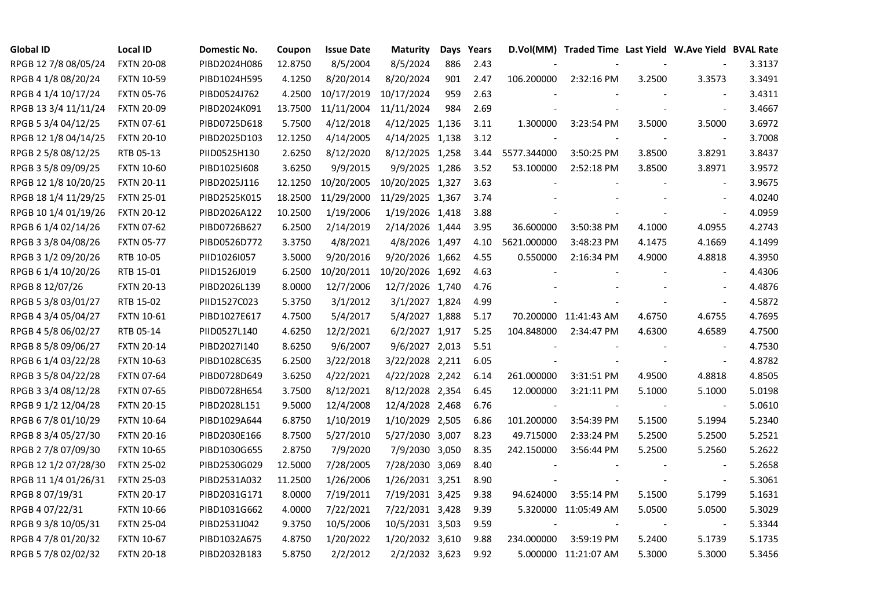| <b>Global ID</b>     | <b>Local ID</b>   | Domestic No. | Coupon  | <b>Issue Date</b> | <b>Maturity</b>  |     | Days Years |                | D.Vol(MM) Traded Time Last Yield W.Ave Yield BVAL Rate |        |                          |        |
|----------------------|-------------------|--------------|---------|-------------------|------------------|-----|------------|----------------|--------------------------------------------------------|--------|--------------------------|--------|
| RPGB 12 7/8 08/05/24 | <b>FXTN 20-08</b> | PIBD2024H086 | 12.8750 | 8/5/2004          | 8/5/2024         | 886 | 2.43       |                |                                                        |        |                          | 3.3137 |
| RPGB 4 1/8 08/20/24  | <b>FXTN 10-59</b> | PIBD1024H595 | 4.1250  | 8/20/2014         | 8/20/2024        | 901 | 2.47       | 106.200000     | 2:32:16 PM                                             | 3.2500 | 3.3573                   | 3.3491 |
| RPGB 4 1/4 10/17/24  | <b>FXTN 05-76</b> | PIBD0524J762 | 4.2500  | 10/17/2019        | 10/17/2024       | 959 | 2.63       |                |                                                        |        | $\overline{\phantom{a}}$ | 3.4311 |
| RPGB 13 3/4 11/11/24 | <b>FXTN 20-09</b> | PIBD2024K091 | 13.7500 | 11/11/2004        | 11/11/2024       | 984 | 2.69       |                |                                                        |        | $\sim$                   | 3.4667 |
| RPGB 5 3/4 04/12/25  | <b>FXTN 07-61</b> | PIBD0725D618 | 5.7500  | 4/12/2018         | 4/12/2025 1,136  |     | 3.11       | 1.300000       | 3:23:54 PM                                             | 3.5000 | 3.5000                   | 3.6972 |
| RPGB 12 1/8 04/14/25 | <b>FXTN 20-10</b> | PIBD2025D103 | 12.1250 | 4/14/2005         | 4/14/2025 1,138  |     | 3.12       |                |                                                        |        |                          | 3.7008 |
| RPGB 2 5/8 08/12/25  | RTB 05-13         | PIID0525H130 | 2.6250  | 8/12/2020         | 8/12/2025 1,258  |     | 3.44       | 5577.344000    | 3:50:25 PM                                             | 3.8500 | 3.8291                   | 3.8437 |
| RPGB 3 5/8 09/09/25  | <b>FXTN 10-60</b> | PIBD10251608 | 3.6250  | 9/9/2015          | 9/9/2025 1,286   |     | 3.52       | 53.100000      | 2:52:18 PM                                             | 3.8500 | 3.8971                   | 3.9572 |
| RPGB 12 1/8 10/20/25 | <b>FXTN 20-11</b> | PIBD2025J116 | 12.1250 | 10/20/2005        | 10/20/2025 1,327 |     | 3.63       |                |                                                        |        |                          | 3.9675 |
| RPGB 18 1/4 11/29/25 | <b>FXTN 25-01</b> | PIBD2525K015 | 18.2500 | 11/29/2000        | 11/29/2025 1,367 |     | 3.74       |                |                                                        |        | $\sim$                   | 4.0240 |
| RPGB 10 1/4 01/19/26 | <b>FXTN 20-12</b> | PIBD2026A122 | 10.2500 | 1/19/2006         | 1/19/2026 1,418  |     | 3.88       |                |                                                        |        | $\blacksquare$           | 4.0959 |
| RPGB 6 1/4 02/14/26  | <b>FXTN 07-62</b> | PIBD0726B627 | 6.2500  | 2/14/2019         | 2/14/2026 1,444  |     | 3.95       | 36.600000      | 3:50:38 PM                                             | 4.1000 | 4.0955                   | 4.2743 |
| RPGB 3 3/8 04/08/26  | <b>FXTN 05-77</b> | PIBD0526D772 | 3.3750  | 4/8/2021          | 4/8/2026 1,497   |     | 4.10       | 5621.000000    | 3:48:23 PM                                             | 4.1475 | 4.1669                   | 4.1499 |
| RPGB 3 1/2 09/20/26  | RTB 10-05         | PIID1026I057 | 3.5000  | 9/20/2016         | 9/20/2026 1,662  |     | 4.55       | 0.550000       | 2:16:34 PM                                             | 4.9000 | 4.8818                   | 4.3950 |
| RPGB 6 1/4 10/20/26  | RTB 15-01         | PIID1526J019 | 6.2500  | 10/20/2011        | 10/20/2026 1,692 |     | 4.63       |                |                                                        |        | $\overline{\phantom{a}}$ | 4.4306 |
| RPGB 8 12/07/26      | <b>FXTN 20-13</b> | PIBD2026L139 | 8.0000  | 12/7/2006         | 12/7/2026 1,740  |     | 4.76       |                |                                                        |        |                          | 4.4876 |
| RPGB 5 3/8 03/01/27  | RTB 15-02         | PIID1527C023 | 5.3750  | 3/1/2012          | 3/1/2027 1,824   |     | 4.99       |                |                                                        |        | $\overline{\phantom{a}}$ | 4.5872 |
| RPGB 4 3/4 05/04/27  | <b>FXTN 10-61</b> | PIBD1027E617 | 4.7500  | 5/4/2017          | 5/4/2027 1,888   |     | 5.17       |                | 70.200000 11:41:43 AM                                  | 4.6750 | 4.6755                   | 4.7695 |
| RPGB 4 5/8 06/02/27  | RTB 05-14         | PIID0527L140 | 4.6250  | 12/2/2021         | 6/2/2027 1,917   |     | 5.25       | 104.848000     | 2:34:47 PM                                             | 4.6300 | 4.6589                   | 4.7500 |
| RPGB 8 5/8 09/06/27  | <b>FXTN 20-14</b> | PIBD2027I140 | 8.6250  | 9/6/2007          | 9/6/2027 2,013   |     | 5.51       |                |                                                        |        | $\blacksquare$           | 4.7530 |
| RPGB 6 1/4 03/22/28  | <b>FXTN 10-63</b> | PIBD1028C635 | 6.2500  | 3/22/2018         | 3/22/2028 2,211  |     | 6.05       | $\blacksquare$ |                                                        | $\sim$ | $\blacksquare$           | 4.8782 |
| RPGB 3 5/8 04/22/28  | <b>FXTN 07-64</b> | PIBD0728D649 | 3.6250  | 4/22/2021         | 4/22/2028 2,242  |     | 6.14       | 261.000000     | 3:31:51 PM                                             | 4.9500 | 4.8818                   | 4.8505 |
| RPGB 3 3/4 08/12/28  | <b>FXTN 07-65</b> | PIBD0728H654 | 3.7500  | 8/12/2021         | 8/12/2028 2,354  |     | 6.45       | 12.000000      | 3:21:11 PM                                             | 5.1000 | 5.1000                   | 5.0198 |
| RPGB 9 1/2 12/04/28  | <b>FXTN 20-15</b> | PIBD2028L151 | 9.5000  | 12/4/2008         | 12/4/2028 2,468  |     | 6.76       |                |                                                        |        | $\overline{\phantom{a}}$ | 5.0610 |
| RPGB 67/8 01/10/29   | <b>FXTN 10-64</b> | PIBD1029A644 | 6.8750  | 1/10/2019         | 1/10/2029 2,505  |     | 6.86       | 101.200000     | 3:54:39 PM                                             | 5.1500 | 5.1994                   | 5.2340 |
| RPGB 8 3/4 05/27/30  | <b>FXTN 20-16</b> | PIBD2030E166 | 8.7500  | 5/27/2010         | 5/27/2030 3,007  |     | 8.23       | 49.715000      | 2:33:24 PM                                             | 5.2500 | 5.2500                   | 5.2521 |
| RPGB 2 7/8 07/09/30  | <b>FXTN 10-65</b> | PIBD1030G655 | 2.8750  | 7/9/2020          | 7/9/2030 3,050   |     | 8.35       | 242.150000     | 3:56:44 PM                                             | 5.2500 | 5.2560                   | 5.2622 |
| RPGB 12 1/2 07/28/30 | <b>FXTN 25-02</b> | PIBD2530G029 | 12.5000 | 7/28/2005         | 7/28/2030 3,069  |     | 8.40       |                |                                                        |        | $\blacksquare$           | 5.2658 |
| RPGB 11 1/4 01/26/31 | <b>FXTN 25-03</b> | PIBD2531A032 | 11.2500 | 1/26/2006         | 1/26/2031 3,251  |     | 8.90       |                |                                                        |        | $\overline{\phantom{a}}$ | 5.3061 |
| RPGB 8 07/19/31      | <b>FXTN 20-17</b> | PIBD2031G171 | 8.0000  | 7/19/2011         | 7/19/2031 3,425  |     | 9.38       | 94.624000      | 3:55:14 PM                                             | 5.1500 | 5.1799                   | 5.1631 |
| RPGB 4 07/22/31      | <b>FXTN 10-66</b> | PIBD1031G662 | 4.0000  | 7/22/2021         | 7/22/2031 3,428  |     | 9.39       |                | 5.320000 11:05:49 AM                                   | 5.0500 | 5.0500                   | 5.3029 |
| RPGB 9 3/8 10/05/31  | <b>FXTN 25-04</b> | PIBD2531J042 | 9.3750  | 10/5/2006         | 10/5/2031 3,503  |     | 9.59       |                |                                                        |        | $\overline{\phantom{a}}$ | 5.3344 |
| RPGB 4 7/8 01/20/32  | <b>FXTN 10-67</b> | PIBD1032A675 | 4.8750  | 1/20/2022         | 1/20/2032 3,610  |     | 9.88       | 234.000000     | 3:59:19 PM                                             | 5.2400 | 5.1739                   | 5.1735 |
| RPGB 5 7/8 02/02/32  | <b>FXTN 20-18</b> | PIBD2032B183 | 5.8750  | 2/2/2012          | 2/2/2032 3,623   |     | 9.92       |                | 5.000000 11:21:07 AM                                   | 5.3000 | 5.3000                   | 5.3456 |